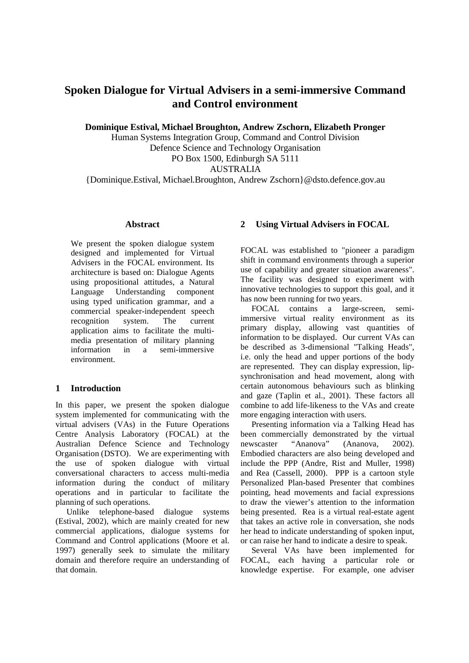# **Spoken Dialogue for Virtual Advisers in a semi-imme rsive Command and Control environment**

**Dominique Estival, Michael Broughton, Andrew Zschor n, Elizabeth Pronger** 

Human Systems Integration Group, Command and Contro lDivision Defence Science and Technology Organisation POBox 1500, Edinburgh SA 5111 AUSTRALIA

{Dominique.Estival, Michael.Broughton, Andrew Zscho rn}@dsto.defence.gov.au

## **Abstract**

We present the spoken dialogue system designed and implemented for Virtual Advisers in the FOCAL environment. Its architecture is based on: Dialogue Agents using propositional attitudes, a Natural Language Understanding component using typed unification grammar, and a commercial speaker-independent speech recognition system. The current application aims to facilitate the multimedia presentation of military planning<br>information in a semi-immersive information in a semi-immersive environment.

# **1 Introduction**

In this paper, we present the spoken dialogue system implemented for communicating with the virtual advisers (VAs) in the Future Operations Centre Analysis Laboratory (FOCAL) at the Australian Defence Science and Technology Organisation (DSTO). We are experimenting with the use of spoken dialogue with virtual conversational characters to access multi-media information during the conduct of military operations and in particular to facilitate the planning of such operations.

Unlike telephone-based dialogue systems (Estival, 2002), which are mainly created for new commercial applications, dialogue systems for Command and Control applications (Moore et al. 1997) generally seek to simulate the military domain and therefore require an understanding of that domain.

# **2 Using Virtual Advisers in FOCAL**

FOCAL was established to "pioneer a paradigm shiftin command environments through a superior use of capability and greater situation awareness". The facility was designed to experiment with innovative technologies to support this goal, and i t has now been running for two years.

FOCAL contains a large-screen, semiimmersive virtual reality environment as its primary display, allowing vast quantities of information to be displayed. Our current VAs can be described as 3-dimensional "Talking Heads", i.e. only the head and upper portions of the body are represented. They can display expression, lipsynchronisation and head movement, along with certain autonomous behaviours such as blinking and gaze (Taplin et al., 2001). These factors all combine to add life-likeness to the VAs and create more engaging interaction with users.

Presenting information via a Talking Head has been commercially demonstrated by the virtual newscaster "Ananova" (Ananova, 2002). Embodied characters are also being developed and include the PPP (Andre, Rist and Muller, 1998) and Rea (Cassell, 2000). PPP is a cartoon style Personalized Plan-based Presenter that combines pointing, head movements and facial expressions to draw the viewer's attention to the information being presented. Rea is a virtual real-estate agen t that takes an active role in conversation, she nods her head to indicate understanding of spoken input, or can raise her hand to indicate a desire to speak

Several VAs have been implemented for FOCAL, each having a particular role or knowledge expertise. For example, one adviser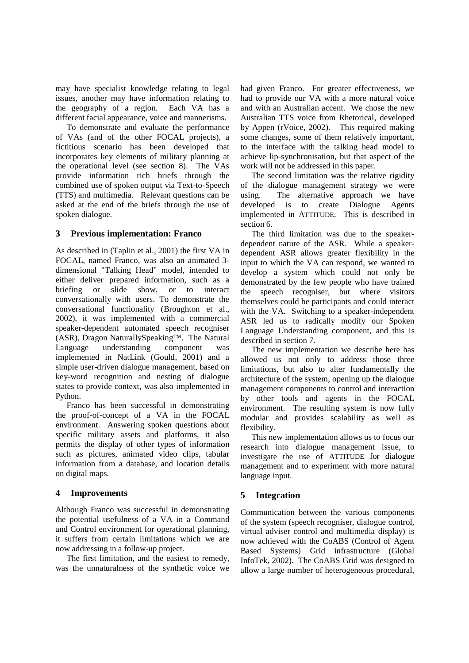may have specialist knowledge relating to legal issues, another may have information relating to the geography of a region. Each VA has a different facial appearance, voice and mannerisms.

To demonstrate and evaluate the performance of VAs (and of the other FOCAL projects), a fictitious scenario has been developed that incorporates key elements of military planning at the operational level (see section 8). The VAs provide information rich briefs through the combined use of spoken output via Text-to-Speech (TTS) and multimedia. Relevant questions can be asked at the end of the briefs through the use of spokendialogue.

#### **3 Previous implementation: Franco**

 $As described in (Taplin et al., 2001) the first VA$  in FOCAL, named Franco, was also an animated 3 dimensional "Talking Head" model, intended to either deliver prepared information, such as a briefing or slide show, or to interact conversationally with users. To demonstrate the conversational functionality (Broughton et al., 2002), it was implemented with a commercial speaker-dependent automated speech recogniser (ASR), Dragon NaturallySpeaking™. The Natural Language understanding component was implemented in NatLink (Gould, 2001) and a simpleuser-drivendialogue management, based on key-word recognition and nesting of dialogue states to provide context, was also implemented in Python.

Franco has been successful in demonstrating the proof-of-concept of a VA in the FOCAL environment. Answering spoken questions about specific military assets and platforms, it also permits the display of other types of information such as pictures, animated video clips, tabular information from a database, and location details on digital maps.

#### **4 Improvements**

Although Franco was successful in demonstrating the potential usefulness of a VA in a Command and Control environment for operational planning, it suffers from certain limitations which we are now addressing in a follow-up project.

The first limitation, and the easiest to remedy, was the unnaturalness of the synthetic voice we had given Franco. For greater effectiveness, we had to provide our VA with a more natural voice and with an Australian accent. We chose the new Australian TTS voice from Rhetorical, developed by Appen (rVoice, 2002). This required making some changes, some of them relatively important, to the interface with the talking head model to achieve lip-synchronisation, but that aspect of the work will not be addressed in this paper.

The second limitation was the relative rigidity of the dialogue management strategy we were using. The alternative approach we have developed is to create Dialogue Agents implemented in A TTITUDE. This is described in section<sub>6</sub>.

The third limitation was due to the speakerdependent nature of the ASR. While a speakerdependent ASR allows greater flexibility in the input to which the VA can respond, we wanted to develop a system which could not only be demonstrated by the few people who have trained the speech recogniser, but where visitors themselves could be participants and could interact with the VA. Switching to a speaker-independent ASR led us to radically modify our Spoken Language Understanding component, and this is described in section 7.

The new implementation we describe here has allowed us not only to address those three limitations, but also to alter fundamentally the architecture of the system, opening up the dialogue management components to control and interaction by other tools and agents in the FOCAL environment. The resulting system is now fully modular and provides scalability as well as flexibility.

This new implementation allows us to focus our research into dialogue management issue, to investigate the use of A TTITUDE for dialogue management and to experiment with more natural languageinput.

# **5 Integration**

Communication between the various components of the system (speech recogniser, dialogue control, virtual adviser control and multimedia display) is now achieved with the CoABS (Control of Agent Based Systems) Grid infrastructure (Global InfoTek, 2002). The CoABS Grid was designed to allow a large number of heterogeneous procedural,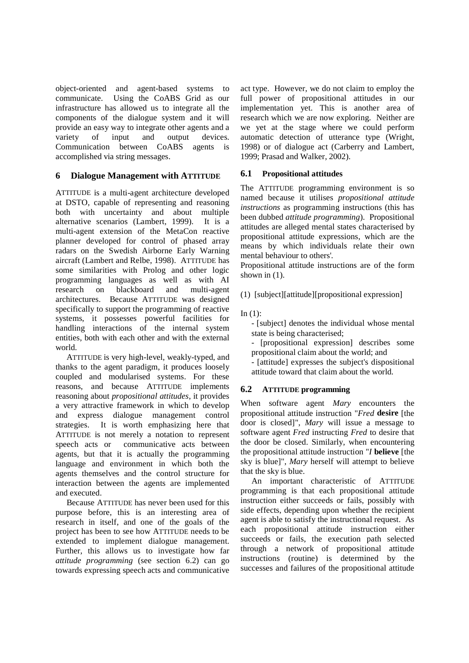object-oriented and agent-based systems to communicate. Using the CoABS Grid as our infrastructure has allowed us to integrate all the components of the dialogue system and it will provide an easy way to integrate other agents and a variety of input and output devices. Communication between CoABS agents is accomplished via string messages.

# **6 Dialogue Management with A TTITUDE**

ATTITUDE is a multi-agent architecture developed at DSTO, capable of representing and reasoning both with uncertainty and about multiple alternative scenarios (Lambert, 1999). It is a multi-agent extension of the MetaCon reactive planner developed for control of phased array radars on the Swedish Airborne Early Warning aircraft(Lambert and Relbe, 1998). A TTITUDE has some similarities with Prolog and other logic programming languages as well as with AI research on blackboard and multi-agent architectures. Because A TTITUDE was designed specifically to support the programming of reactive systems, it possesses powerful facilities for handling interactions of the internal system entities, both with each other and with the externa l world.

ATTITUDE is very high-level, weakly-typed, and thanks to the agent paradigm, it produces loosely coupled and modularised systems. For these reasons, and because A TTITUDE implements reasoning about *propositional attitudes* , it provides a very attractive framework in which to develop and express dialogue management control strategies. It is worth emphasizing here that ATTITUDE is not merely a notation to represent speech acts or communicative acts between agents, but that it is actually the programming language and environment in which both the agents themselves and the control structure for interaction between the agents are implemented andexecuted

Because A TTITUDE has never been used for this purpose before, this is an interesting area of research in itself, and one of the goals of the project has been to see how A TTITUDE needs to be extended to implement dialogue management. Further, this allows us to investigate how far *attitude programming* (see section 6.2) can go towards expressing speech acts and communicative

act type. However, we donot claim to employ the full power of propositional attitudes in our implementation yet. This is another area of research which we are now exploring. Neither are we yet at the stage where we could perform automatic detection of utterance type (Wright, 1998) or of dialogue act (Carberry and Lambert, 1999; Prasadand Walker, 2002).

## **6.1 Propositional attitudes**

The A TTITUDE programming environment is so named because it utilises *propositional attitude instructions* as programming instructions (this has been dubbed *attitude programming* ). Propositional attitudes are alleged mental states characterised b propositional attitude expressions, which are the means by which individuals relate their own mental behaviour to others'.

Propositional attitude instructions are of the form shownin $(1)$ .

 $(1)$ [subject][attitude][propositional expression]

 $In(1):$ 

- [subject] denotes the individual whose mental state is being characterised;

- [propositional expression] describes some propositional claim about the world; and - [attitude] expresses the subject's dispositional

attitude toward that claim about the world.

#### **6.2 ATTITUDE programming**

When software agent *Mary* encounters the propositional attitude instruction " *Fred* **desire** [the door is closed]", *Mary* will issue a message to software agent *Fred* instructing *Fred* to desire that the door be closed. Similarly, when encountering the propositional attitude instruction " *I* **believe** [the sky is blue]", *Mary* herself will attempt to believe that the sky is blue.

An important characteristic of A TTITUDE programming is that each propositional attitude instruction either succeeds or fails, possibly with side effects, depending upon whether the recipient agentisable to satisfy the instructional request. As each propositional attitude instruction either succeeds or fails, the execution path selected through a network of propositional attitude instructions (routine) is determined by the  $successes and failures of the propositional attitude  $e$$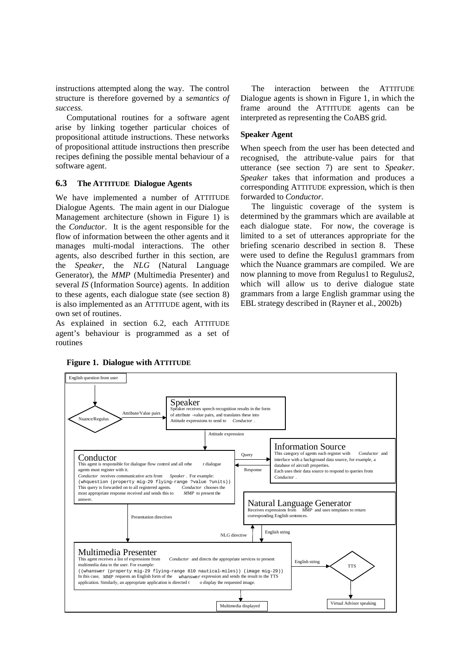instructions attempted along the way. The control structure is therefore governed by a *semantics of success.*

Computational routines for a software agent arise by linking together particular choices of propositional attitude instructions. These networks of propositional attitude instructions then prescri be recipes defining the possible mental behaviour of a software agent.

# **6.3 The ATTITUDE Dialogue Agents**

We have implemented a number of A TTITUDE Dialogue Agents. The main agent in our Dialogue Management architecture (shown in Figure 1) is the *Conductor*. It is the agent responsible for the flow of information between the other agents and it manages multi-modal interactions. The other agents, also described further in this section, are the *Speaker*, the *NLG* (Natural Language Generator), the *MMP* (Multimedia Presenter) and several *IS* (Information Source) agents. In addition to these agents, each dialogue state (see section 8 ) is also implemented as an A TTITUDE agent, with its ownsetofroutines.

As explained in section 6.2, each A TTITUDE agent's behaviour is programmed as a set of routines

The interaction between the A TTITUDE Dialogue agents is shown in Figure 1, in which the frame around the A TTITUDE agents can be interpreted as representing the CoABS grid.

# **Speaker Agent**

When speech from the user has been detected and recognised, the attribute-value pairs for that utterance (see section 7) are sent to *Speaker*. *Speaker* takes that information and produces a corresponding A TTITUDE expression, which is then forwarded to *Conductor*.

The linguistic coverage of the system is determined by the grammars which are available at each dialogue state. For now, the coverage is limited to a set of utterances appropriate for the briefing scenario described in section 8. These were used to define the Regulus1 grammars from which the Nuance grammars are compiled. We are now planning to move from Regulus 1 to Regulus 2. which will allow us to derive dialogue state grammars from a large English grammar using the EBL strategy described in (Rayner et al., 2002b)



## **Figure 1. Dialogue with A TTITUDE**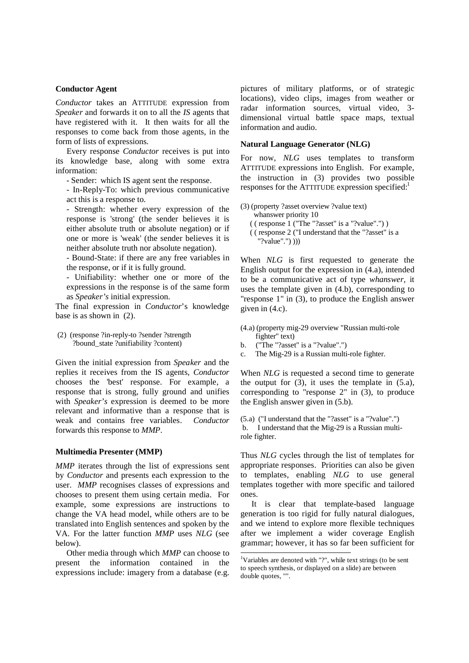#### **Conductor Agent**

*Conductor* takes an A TTITUDE expression from *Speaker* and forwards it on to all the *IS* agents that have registered with it. It then waits for all the responses to come back from those agents, in the form of lists of expressions.

Every response *Conductor* receives is put into its knowledge base, along with some extra information:

-Sender: which IS agent sent the response.

- In-Reply-To: which previous communicative actthisis are sponse to.

- Strength: whether every expression of the response is 'strong' (the sender believes it is either absolute truth or absolute negation) or if one or more is 'weak' (the sender believes it is neither absolute truth nor absolute negation).

- Bound-State: if there are any free variables in theresponse, orifitisfully ground.

- Unifiability: whether one or more of the expressions in the response is of the same form as *Speaker's* initial expression.

The final expression in *Conductor*'s knowledge  $base is a s shown in (2).$ 

 (2) (response ?in-reply-to ?sender ?strength ?bound\_state ?unifiability ?content)

Given the initial expression from *Speaker* and the replies it receives from the IS agents, *Conductor* chooses the 'best' response. For example, a response that is strong, fully ground and unifies with *Speaker's* expression is deemed to be more relevant and informative than a response that is weak and contains free variables. *Conductor* forwards this response to *MMP*.

# **Multimedia Presenter (MMP)**

*MMP* iterates through the list of expressions sent by *Conductor* and presents each expression to the user. *MMP* recognises classes of expressions and chooses to present them using certain media. For example, some expressions are instructions to change the VA head model, while others are to be translated into English sentences and spoken by the VA. For the latter function *MMP* uses *NLG* (see below).

Othermedia through which *MMP* can choose to present the information contained in the expressions include: imagery from a database (e.g.

pictures of military platforms, or of strategic locations), video clips, images from weather or radar information sources, virtual video, 3 dimensional virtual battle space maps, textual information and audio.

#### **Natural Language Generator (NLG)**

For now, *NLG* uses templates to transform ATTITUDE expressions into English. For example, the instruction in (3) provides two possible  $resposes for the A TTTUDE expression specified:  $1$$ 

(3) (property?asset overview?value text) whanswerpriority  $10$ ((response 1 ("The "?asset" is a "?value".") ((response 2 ("Iunderstandthat the "?asset")  $((response2("Iunderstand that the")\text{asset})$ "?value".") )))

When *NLG* is first requested to generate the English output for the expression in  $(4.a)$ , intende d to be a communicative act of type *whanswer*, it uses the template given in (4.b), corresponding to "response 1" in (3), to produce the English answer given in  $(4.c)$ .

(4.a) (property mig-29 overview "Russian multi-role fighter" text) b. ("The"?asset" is a "?value".") c. The Mig-29 is a Russian multi-role fighter.

When *NLG* is requested a second time to generate the output for  $(3)$ , it uses the template in  $(5.a)$ , corresponding to "response 2" in (3), to produce  $the English answer given in (5.b).$ 

 $(5.a)$  ("I understand that the "?asset" is a "?valu e".") b. I understand that the Mig-29 is a Russian m ultirolefighter.

Thus *NLG* cycles through the list of templates for appropriate responses. Priorities can also be give n to templates, enabling *NLG* to use general templates together with more specific and tailored ones.

It is clear that template-based language generation is too rigid for fully natural dialogues , and we intend to explore more flexible techniques after we implement a wider coverage English grammar; however, it has so far been sufficient for

.<br>.

<sup>&</sup>lt;sup>1</sup>Variables are denoted with "?", while text strings (to be sent to speech synthesis, or displayed on a slide) are b etween doublequotes,"".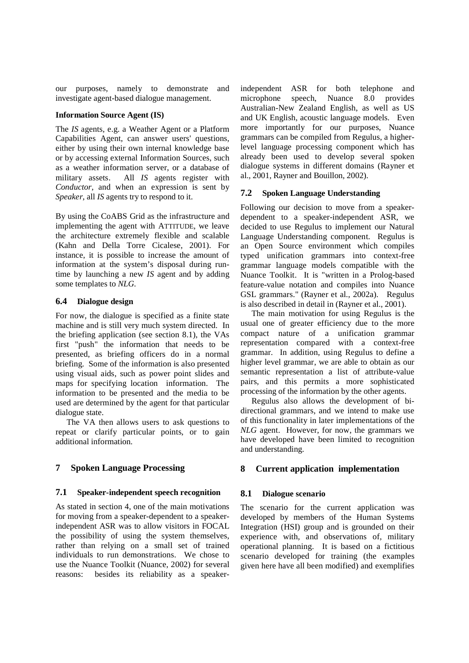our purposes, namely to demonstrate and investigate agent-based dialogue management.

# **Information Source Agent (IS)**

The *IS* agents, e.g. a Weather Agent or a Platform Capabilities Agent, can answer users' questions, either by using their own internal knowledge base or by accessing external Information Sources, such as a weather information server, or a database of military assets. All *IS* agents register with *Conductor*, and when an expression is sent by *Speaker*, all *IS* agents try to respond to it.

By using the CoABS Grid as the infrastructure and  $implementing the agent with A \tTTITUDE, we leave$ the architecture extremely flexible and scalable (Kahn and Della Torre Cicalese, 2001). For instance, it is possible to increase the amount of information at the system's disposal during runtime by launching a new *IS* agent and by adding sometemplatesto *NLG*.

#### **6.4 Dialogue design**

For now, the dialogue is specified as a finite stat  $e$ machine and is still very much system directed. In the briefing application (see section 8.1), the VAs first "push" the information that needs to be presented, as briefing officers do in a normal briefing. Some of the information is also presente d using visual aids, such as power point slides and maps for specifying location information. The information to be presented and the media to be used are determined by the agent for that particula r dialogue state.

The VA then allows users to ask questions to repeat or clarify particular points, or to gain additional information.

# **7 Spoken Language Processing**

#### **7.1 Speaker-independent speech recognition**

As stated in section 4, one of the main motivations for moving from a speaker-dependent to a speakerindependent ASR was to allow visitors in FOCAL the possibility of using the system themselves, rather than relying on a small set of trained individuals to run demonstrations. We chose to use the Nuance Toolkit (Nuance, 2002) for several reasons: besides its reliability as a speakerindependent ASR for both telephone and microphone speech, Nuance 8.0 provides Australian-New Zealand English, as well as US and UK English, acoustic language models. Even more importantly for our purposes, Nuance grammars can be compiled from Regulus, a higherlevel language processing component which has already been used to develop several spoken dialogue systems in different domains (Rayner et al., 2001, Rayner and Bouillon, 2002).

#### **7.2 Spoken Language Understanding**

Following our decision to move from a speakerdependent to a speaker-independent ASR, we decided to use Regulus to implement our Natural Language Understanding component. Regulus is an Open Source environment which compiles typed unification grammars into context-free grammar language models compatible with the Nuance Toolkit. It is "written in a Prolog-based feature-value notation and compiles into Nuance GSL grammars." (Rayner et al., 2002a). Regulus is also described in detail in (Rayner et al., 2001 ).

The main motivation for using Regulus is the usual one of greater efficiency due to the more compact nature of a unification grammar representation compared with a context-free grammar. In addition, using Regulus to define a higher level grammar, we are able to obtain as our semantic representation a list of attribute-value pairs, and this permits a more sophisticated processing of the information by the other agents.

Regulus also allows the development of bidirectional grammars, and we intend to make use of this functionality in later implementations of the *NLG* agent. However, for now, the grammars we have developed have been limited to recognition and understanding.

# **8 Current application implementation**

#### **8.1 Dialogue scenario**

The scenario for the current application was developed by members of the Human Systems Integration (HSI) group and is grounded on their experience with, and observations of, military operational planning. It is based on a fictitious scenario developed for training (the examples given here have all been modified) and exemplifies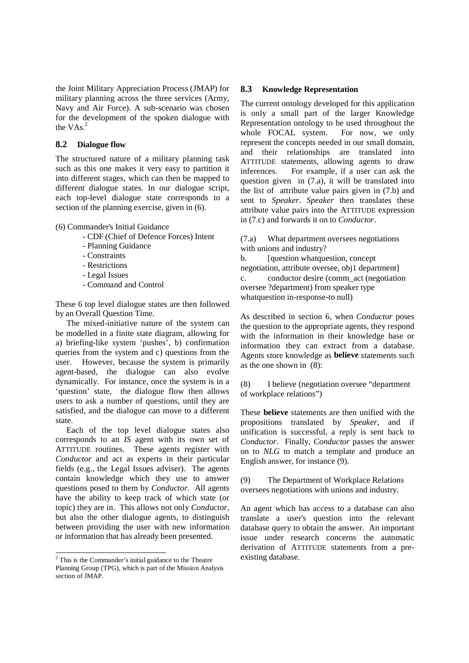the Joint Military Appreciation Process (JMAP) for military planning across the three services (Army, Navy and Air Force). A sub-scenario was chosen for the development of the spoken dialogue with the VAs $^{-2}$ 

# **8.2 Dialogue flow**

The structured nature of a military planning task such as this one makes it very easy to partition it into different stages, which can then be mapped to different dialogue states. In our dialogue script, each top-level dialogue state corresponds to a  $section of the planning exercise, given in (6).$ 

(6) Commander's Initial Guidance

-CDF(ChiefofDefenceForces)Intent - Planning Guidance -Constraints - Restrictions -LegalIssues -CommandandControl

These 6 top level dialogue states are then followed by an Overall Question Time.

The mixed-initiative nature of the system can be modelled in a finite state diagram, allowing for a) briefing-like system 'pushes', b) confirmation queries from the system and c) questions from the user. However, because the system is primarily agent-based, the dialogue can also evolve dynamically. For instance, once the system is in a 'question' state, the dialogue flow then allows users to ask a number of questions, until they are satisfied, and the dialogue can move to a different state.

Each of the top level dialogue states also corresponds to an *IS* agent with its own set of ATTITUDE routines. These agents register with *Conductor* and act as experts in their particular fields (e.g., the Legal Issues adviser). The agent s contain knowledge which they use to answer questions posed to them by *Conductor*. All agents have the ability to keep track of which state (or topic) they are in. This allows not only *Conductor*, but also the other dialogue agents, to distinguish between providing the user with new information orinformation that has already been presented.

.<br>.

# **8.3 Knowledge Representation**

The current ontology developed for this application is only a small part of the larger Knowledge Representation ontology to be used throughout the whole FOCAL system. For now, we only represent the concepts needed in our small domain, and their relationships are translated into ATTITUDE statements, allowing agents to draw inferences. For example, if a user can ask the question given in  $(7.a)$ , it will be translated int o the list of attribute value pairs given in  $(7.b)a$  nd sent to *Speaker*. *Speaker* then translates these attribute value pairs into the A TTITUDE expression in(7.c) and forwards it onto *Conductor*.

(7.a) What department oversees negotiations with unions and industry?

b. [question what question, concept negotiation, attribute oversee, obj1 department] c. conductor desire (commatt (negotiation oversee?department) from speaker type whatquestion in-response-tonull)

As described in section 6, when *Conductor* poses the question to the appropriate agents, they respon d with the information in their knowledge base or information they can extract from a database. Agents store knowledge as **believe** statements such  $astheoneshownin(8)$ :

(8) Ibelieve (negotiation oversee "department" of workplace relations")

These **believe** statements are then unified with the propositions translated by *Speaker*, and if unification is successful, a reply is sent back to *Conductor*. Finally, *Conductor* passes the answer on to *NLG* to match a template and produce an Englishanswer, for instance (9).

(9) The Department of Workplace Relations oversees negotiations with unions and industry.

An agent which has access to a database can also translate a user's question into the relevant database query to obtain the answer. An important issue under research concerns the automatic derivation of A TTITUDE statements from a preexisting database.

 $2$ This is the Commander's initial guidance to the The eatre Planning Group (TPG), which is part of the Mission Analysis section of JMAP.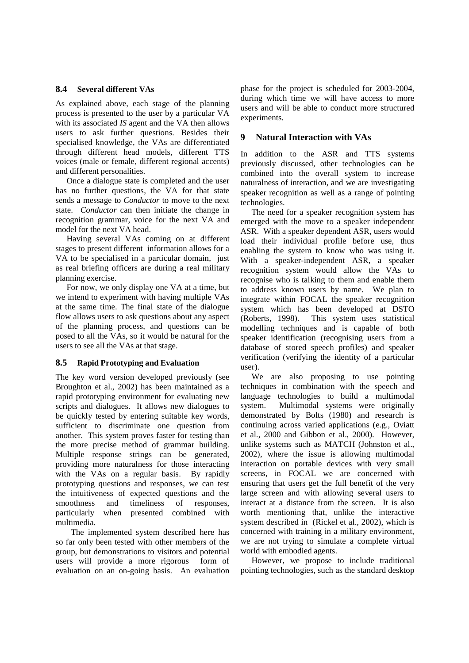#### **8.4 Several different VAs**

As explained above, each stage of the planning process is presented to the user by a particular VA with its associated *IS* agent and the VA then allows users to ask further questions. Besides their specialised knowledge, the VAs are differentiated through different head models, different TTS voices (male or female, different regional accents) and different personalities.

Once a dialogue state is completed and the user has no further questions, the VA for that state sends a message to *Conductor* to move to the next state. *Conductor* can then initiate the change in recognition grammar, voice for the next VA and model for the next VA head.

Having several VAs coming on at different stages to present different information allows for a VA to be specialised in a particular domain, just as real briefing officers are during a real militar y planning exercise.

Fornow, we only display one VA at a time, but we intend to experiment with having multiple VAs at the same time. The final state of the dialogue flow allows users to ask questions about any aspect of the planning process, and questions can be posed to all the VAs, so it would be natural for the e users to see all the VAs at that stage.

#### 8.5 RapidPrototyping and Evaluation

The key word version developed previously (see Broughton et al., 2002) has been maintained as a rapid prototyping environment for evaluating new scripts and dialogues. It allows new dialogues to be quickly tested by entering suitable key words, sufficient to discriminate one question from another. This system proves faster for testing tha n the more precise method of grammar building. Multiple response strings can be generated, providing more naturalness for those interacting with the VAs on a regular basis. By rapidly prototyping questions and responses, we can test the intuitiveness of expected questions and the smoothness and timeliness of responses, particularly when presented combined with multimedia.

The implemented system described here has so far only been tested with other members of the group, but demonstrations to visitors and potential users will provide a more rigorous form of evaluation on an on-going basis. An evaluation

phase for the project is scheduled for 2003-2004, during which time we will have access to more users and will be able to conduct more structured experiments.

#### **9 Natural Interaction with VAs**

In addition to the ASR and TTS systems previously discussed, other technologies can be combined into the overall system to increase naturalness of interaction, and we are investigatin g speaker recognition as well as a range of pointing technologies.

The need for a speaker recognition system has emerged with the move to a speaker independent ASR. With a speaker dependent ASR, users would load their individual profile before use, thus enabling the system to know who was using it. With a speaker-independent ASR, a speaker recognition system would allow the VAs to recognise who is talking to them and enable them to address known users by name. We plan to integrate within FOCAL the speaker recognition system which has been developed at DSTO (Roberts, 1998). This system uses statistical modelling techniques and is capable of both speaker identification (recognising users from a database of stored speech profiles) and speaker verification (verifying the identity of a particula r user).

We are also proposing to use pointing techniques in combination with the speech and language technologies to build a multimodal system. Multimodal systems were originally demonstrated by Bolts (1980) and research is continuing across varied applications (e.g., Oviatt et al., 2000 and Gibbon et al., 2000). However, unlike systems such as MATCH (Johnston et al., 2002), where the issue is allowing multimodal interaction on portable devices with very small screens, in FOCAL we are concerned with ensuring that users get the full benefit of the ver  $\overline{y}$ large screen and with allowing several users to interact at a distance from the screen. It is also worth mentioning that, unlike the interactive  $s$ ystem described in (Rickel et al., 2002), which i s concerned with training in a military environment, we are not trying to simulate a complete virtual world with embodied agents.

However, we propose to include traditional pointing technologies, such as the standard desktop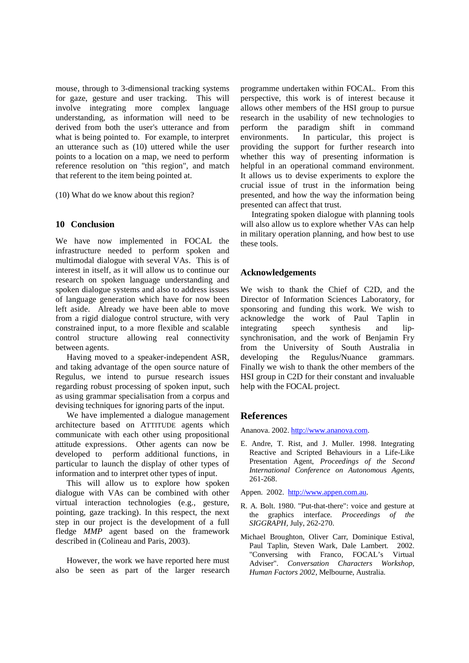mouse, through to 3-dimensional tracking systems for gaze, gesture and user tracking. This will involve integrating more complex language understanding, as information will need to be derived from both the user's utterance and from what is being pointed to. For example, to interpre t an utterance such as (10) uttered while the user points to a location on a map, we need to perform reference resolution on "this region", and match that referent to the item being pointed at.

(10) What do we know about this region?

## **10 Conclusion**

We have now implemented in FOCAL the infrastructure needed to perform spoken and multimodal dialogue with several VAs. This is of interestinitself. as it will allow us to continue our research on spoken language understanding and spoken dialogue systems and also to address issues of language generation which have for now been left aside. Already we have been able to move from a rigid dialogue control structure, with very constrained input, to a more flexible and scalable control structure allowing real connectivity betweenagents.

Having moved to a speaker-independent ASR, and taking advantage of the open source nature of Regulus, we intend to pursue research issues regarding robust processing of spoken input, such as using grammar specialisation from a corpus and devising techniques for ignoring parts of the input

We have implemented a dialogue management architecture based on A TTITUDE agents which communicate with each other using propositional attitude expressions. Other agents can now be developed to perform additional functions, in particular to launch the display of other types of information and to interpret other types of input.

This will allow us to explore how spoken dialogue with VAs can be combined with other virtual interaction technologies (e.g., gesture, pointing, gaze tracking). In this respect, the next step in our project is the development of a full fledge *MMP* agent based on the framework described in (Colineau and Paris, 2003).

However, the work we have reported here must also be seen as part of the larger research

programme undertaken within FOCAL. From this perspective, this work is of interest because it allows other members of the HSI group to pursue research in the usability of new technologies to perform the paradigm shift in command environments. In particular, this project is providing the support for further research into whether this way of presenting information is helpful in an operational command environment. It allows us to devise experiments to explore the crucial issue of trust in the information being presented, and how the way the information being presented can affect that trust.

Integrating spoken dialogue with planning tools will also allow us to explore whether VAs can help in military operation planning, and how best to use these tools.

## **Acknowledgements**

We wish to thank the Chief of C2D, and the Director of Information Sciences Laboratory, for sponsoring and funding this work. We wish to acknowledge the work of Paul Taplin in integrating speech synthesis and lipsynchronisation, and the work of Benjamin Fry from the University of South Australia in developing the Regulus/Nuance grammars. Finally we wish to thank the other members of the HSI group in C2D for their constant and invaluable help with the FOCAL project.

# **References**

Ananova. 2002. http://www.ananova.com.

E. Andre, T. Rist, and J. Muller. 1998. Integrating Reactive and Scripted Behaviours in a Life-Like Presentation Agent, *Proceedings of the Second International Conference on Autonomous Agents* , 261-268.

Appen. 2002. http://www.appen.com.au.

- R. A. Bolt. 1980. "Put-that-there": voice and gestu re at the graphics interface *. Proceedings of the SIGGRAPH,* July, 262-270.
- Michael Broughton, Oliver Carr, Dominique Estival, Paul Taplin, Steven Wark, Dale Lambert. 2002. "Conversing with Franco, FOCAL's Virtual Adviser". *Conversation Characters Workshop, Human Factors 2002* , Melbourne, Australia.